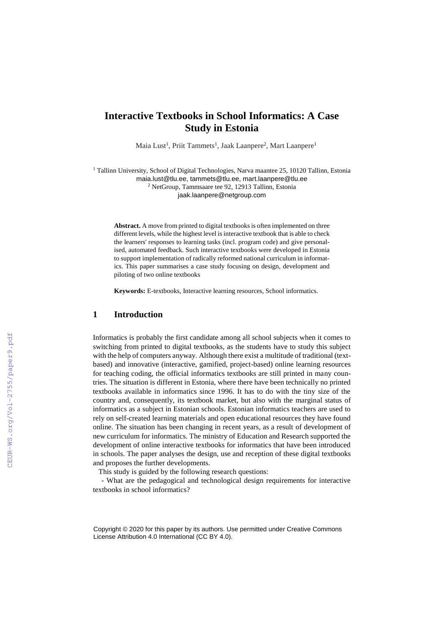# **Interactive Textbooks in School Informatics: A Case Study in Estonia**

Maia Lust<sup>1</sup>, Priit Tammets<sup>1</sup>, Jaak Laanpere<sup>2</sup>, Mart Laanpere<sup>1</sup>

<sup>1</sup> Tallinn University, School of Digital Technologies, Narva maantee 25, 10120 Tallinn, Estonia

maia.lust@tlu.ee, tammets@tlu.ee, mart.laanpere@tlu.ee

<sup>2</sup> NetGroup, Tammsaare tee 92, 12913 Tallinn, Estonia jaak.laanpere@netgroup.com

**Abstract.** A move from printed to digital textbooks is often implemented on three different levels, while the highest level is interactive textbook that is able to check the learners' responses to learning tasks (incl. program code) and give personalised, automated feedback. Such interactive textbooks were developed in Estonia to support implementation of radically reformed national curriculum in informatics. This paper summarises a case study focusing on design, development and piloting of two online textbooks

**Keywords:** E-textbooks, Interactive learning resources, School informatics.

#### **1 Introduction**

Informatics is probably the first candidate among all school subjects when it comes to switching from printed to digital textbooks, as the students have to study this subject with the help of computers anyway. Although there exist a multitude of traditional (textbased) and innovative (interactive, gamified, project-based) online learning resources for teaching coding, the official informatics textbooks are still printed in many countries. The situation is different in Estonia, where there have been technically no printed textbooks available in informatics since 1996. It has to do with the tiny size of the country and, consequently, its textbook market, but also with the marginal status of informatics as a subject in Estonian schools. Estonian informatics teachers are used to rely on self-created learning materials and open educational resources they have found online. The situation has been changing in recent years, as a result of development of new curriculum for informatics. The ministry of Education and Research supported the development of online interactive textbooks for informatics that have been introduced in schools. The paper analyses the design, use and reception of these digital textbooks and proposes the further developments.

This study is guided by the following research questions:

- What are the pedagogical and technological design requirements for interactive textbooks in school informatics?

Copyright © 2020 for this paper by its authors. Use permitted under Creative Commons License Attribution 4.0 International (CC BY 4.0).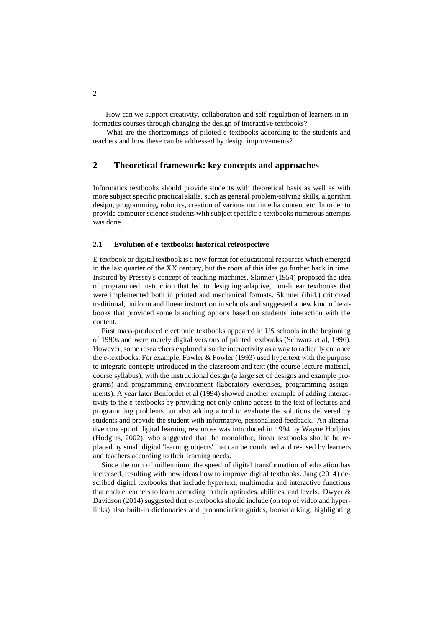- How can we support creativity, collaboration and self-regulation of learners in informatics courses through changing the design of interactive textbooks?

- What are the shortcomings of piloted e-textbooks according to the students and teachers and how these can be addressed by design improvements?

# **2 Theoretical framework: key concepts and approaches**

Informatics textbooks should provide students with theoretical basis as well as with more subject specific practical skills, such as general problem-solving skills, algorithm design, programming, robotics, creation of various multimedia content etc. In order to provide computer science students with subject specific e-textbooks numerous attempts was done.

#### **2.1 Evolution of e-textbooks: historical retrospective**

E-textbook or digital textbook is a new format for educational resources which emerged in the last quarter of the XX century, but the roots of this idea go further back in time. Inspired by Pressey's concept of teaching machines, Skinner (1954) proposed the idea of programmed instruction that led to designing adaptive, non-linear textbooks that were implemented both in printed and mechanical formats. Skinner (ibid.) criticized traditional, uniform and linear instruction in schools and suggested a new kind of textbooks that provided some branching options based on students' interaction with the content.

First mass-produced electronic textbooks appeared in US schools in the beginning of 1990s and were merely digital versions of printed textbooks (Schwarz et al, 1996). However, some researchers explored also the interactivity as a way to radically enhance the e-textbooks. For example, Fowler & Fowler (1993) used hypertext with the purpose to integrate concepts introduced in the classroom and text (the course lecture material, course syllabus), with the instructional design (a large set of designs and example programs) and programming environment (laboratory exercises, programming assignments). A year later Benfordet et al (1994) showed another example of adding interactivity to the e-textbooks by providing not only online access to the text of lectures and programming problems but also adding a tool to evaluate the solutions delivered by students and provide the student with informative, personalised feedback. An alternative concept of digital learning resources was introduced in 1994 by Wayne Hodgins (Hodgins, 2002), who suggested that the monolithic, linear textbooks should be replaced by small digital 'learning objects' that can be combined and re-used by learners and teachers according to their learning needs.

Since the turn of millennium, the speed of digital transformation of education has increased, resulting with new ideas how to improve digital textbooks. Jang (2014) described digital textbooks that include hypertext, multimedia and interactive functions that enable learners to learn according to their aptitudes, abilities, and levels. Dwyer & Davidson (2014) suggested that e-textbooks should include (on top of video and hyperlinks) also built-in dictionaries and pronunciation guides, bookmarking, highlighting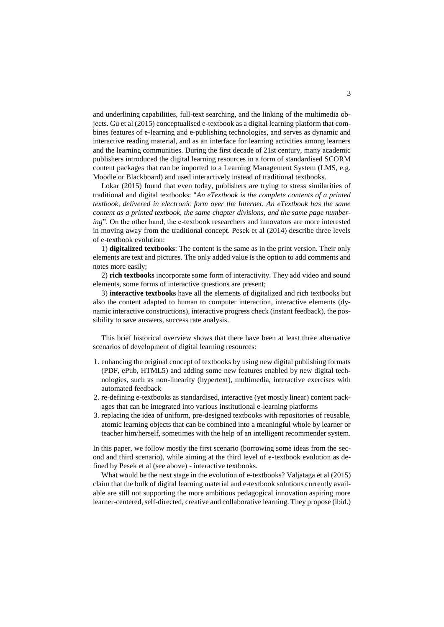and underlining capabilities, full-text searching, and the linking of the multimedia objects. Gu et al (2015) conceptualised e-textbook as a digital learning platform that combines features of e-learning and e-publishing technologies, and serves as dynamic and interactive reading material, and as an interface for learning activities among learners and the learning communities. During the first decade of 21st century, many academic publishers introduced the digital learning resources in a form of standardised SCORM content packages that can be imported to a Learning Management System (LMS, e.g. Moodle or Blackboard) and used interactively instead of traditional textbooks.

Lokar (2015) found that even today, publishers are trying to stress similarities of traditional and digital textbooks: "*An eTextbook is the complete contents of a printed textbook, delivered in electronic form over the Internet. An eTextbook has the same content as a printed textbook, the same chapter divisions, and the same page numbering*". On the other hand, the e-textbook researchers and innovators are more interested in moving away from the traditional concept. Pesek et al (2014) describe three levels of e-textbook evolution:

1) **digitalized textbooks**: The content is the same as in the print version. Their only elements are text and pictures. The only added value is the option to add comments and notes more easily;

2) **rich textbooks** incorporate some form of interactivity. They add video and sound elements, some forms of interactive questions are present;

3) **interactive textbooks** have all the elements of digitalized and rich textbooks but also the content adapted to human to computer interaction, interactive elements (dynamic interactive constructions), interactive progress check (instant feedback), the possibility to save answers, success rate analysis.

This brief historical overview shows that there have been at least three alternative scenarios of development of digital learning resources:

- 1. enhancing the original concept of textbooks by using new digital publishing formats (PDF, ePub, HTML5) and adding some new features enabled by new digital technologies, such as non-linearity (hypertext), multimedia, interactive exercises with automated feedback
- 2. re-defining e-textbooks as standardised, interactive (yet mostly linear) content packages that can be integrated into various institutional e-learning platforms
- 3. replacing the idea of uniform, pre-designed textbooks with repositories of reusable, atomic learning objects that can be combined into a meaningful whole by learner or teacher him/herself, sometimes with the help of an intelligent recommender system.

In this paper, we follow mostly the first scenario (borrowing some ideas from the second and third scenario), while aiming at the third level of e-textbook evolution as defined by Pesek et al (see above) - interactive textbooks.

What would be the next stage in the evolution of e-textbooks? Väljataga et al (2015) claim that the bulk of digital learning material and e-textbook solutions currently available are still not supporting the more ambitious pedagogical innovation aspiring more learner-centered, self-directed, creative and collaborative learning. They propose (ibid.)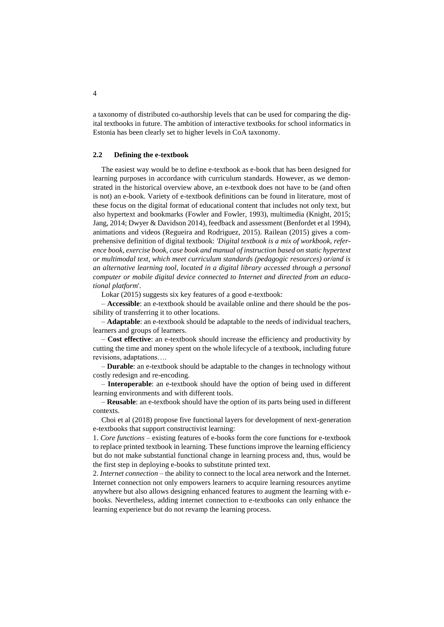a taxonomy of distributed co-authorship levels that can be used for comparing the digital textbooks in future. The ambition of interactive textbooks for school informatics in Estonia has been clearly set to higher levels in CoA taxonomy.

#### **2.2 Defining the e-textbook**

The easiest way would be to define e-textbook as e-book that has been designed for learning purposes in accordance with curriculum standards. However, as we demonstrated in the historical overview above, an e-textbook does not have to be (and often is not) an e-book. Variety of e-textbook definitions can be found in literature, most of these focus on the digital format of educational content that includes not only text, but also hypertext and bookmarks (Fowler and Fowler, 1993), multimedia (Knight, 2015; Jang, 2014; Dwyer & Davidson 2014), feedback and assessment (Benfordet et al 1994), animations and videos (Regueira and Rodriguez, 2015). Railean (2015) gives a comprehensive definition of digital textbook: *'Digital textbook is a mix of workbook, reference book, exercise book, case book and manual of instruction based on static hypertext or multimodal text, which meet curriculum standards (pedagogic resources) or/and is an alternative learning tool, located in a digital library accessed through a personal computer or mobile digital device connected to Internet and directed from an educational platform*'.

Lokar (2015) suggests six key features of a good e-textbook:

– **Accessible**: an e-textbook should be available online and there should be the possibility of transferring it to other locations.

– **Adaptable**: an e-textbook should be adaptable to the needs of individual teachers, learners and groups of learners.

– **Cost effective**: an e-textbook should increase the efficiency and productivity by cutting the time and money spent on the whole lifecycle of a textbook, including future revisions, adaptations….

– **Durable**: an e-textbook should be adaptable to the changes in technology without costly redesign and re-encoding.

– **Interoperable**: an e-textbook should have the option of being used in different learning environments and with different tools.

– **Reusable**: an e-textbook should have the option of its parts being used in different contexts.

Choi et al (2018) propose five functional layers for development of next-generation e-textbooks that support constructivist learning:

1. *Core functions* – existing features of e-books form the core functions for e-textbook to replace printed textbook in learning. These functions improve the learning efficiency but do not make substantial functional change in learning process and, thus, would be the first step in deploying e-books to substitute printed text.

2. *Internet connection* – the ability to connect to the local area network and the Internet. Internet connection not only empowers learners to acquire learning resources anytime anywhere but also allows designing enhanced features to augment the learning with ebooks. Nevertheless, adding internet connection to e-textbooks can only enhance the learning experience but do not revamp the learning process.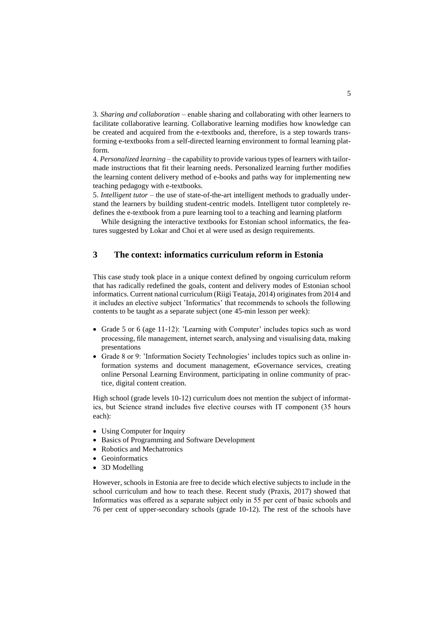3. *Sharing and collaboration* – enable sharing and collaborating with other learners to facilitate collaborative learning. Collaborative learning modifies how knowledge can be created and acquired from the e-textbooks and, therefore, is a step towards transforming e-textbooks from a self-directed learning environment to formal learning platform.

4. *Personalized learning* – the capability to provide various types of learners with tailormade instructions that fit their learning needs. Personalized learning further modifies the learning content delivery method of e-books and paths way for implementing new teaching pedagogy with e-textbooks.

5. *Intelligent tutor* – the use of state-of-the-art intelligent methods to gradually understand the learners by building student-centric models. Intelligent tutor completely redefines the e-textbook from a pure learning tool to a teaching and learning platform

While designing the interactive textbooks for Estonian school informatics, the features suggested by Lokar and Choi et al were used as design requirements.

# **3 The context: informatics curriculum reform in Estonia**

This case study took place in a unique context defined by ongoing curriculum reform that has radically redefined the goals, content and delivery modes of Estonian school informatics. Current national curriculum (Riigi Teataja, 2014) originates from 2014 and it includes an elective subject 'Informatics' that recommends to schools the following contents to be taught as a separate subject (one 45-min lesson per week):

- Grade 5 or 6 (age 11-12): 'Learning with Computer' includes topics such as word processing, file management, internet search, analysing and visualising data, making presentations
- Grade 8 or 9: 'Information Society Technologies' includes topics such as online information systems and document management, eGovernance services, creating online Personal Learning Environment, participating in online community of practice, digital content creation.

High school (grade levels 10-12) curriculum does not mention the subject of informatics, but Science strand includes five elective courses with IT component (35 hours each):

- Using Computer for Inquiry
- Basics of Programming and Software Development
- Robotics and Mechatronics
- Geoinformatics
- 3D Modelling

However, schools in Estonia are free to decide which elective subjects to include in the school curriculum and how to teach these. Recent study (Praxis, 2017) showed that Informatics was offered as a separate subject only in 55 per cent of basic schools and 76 per cent of upper-secondary schools (grade 10-12). The rest of the schools have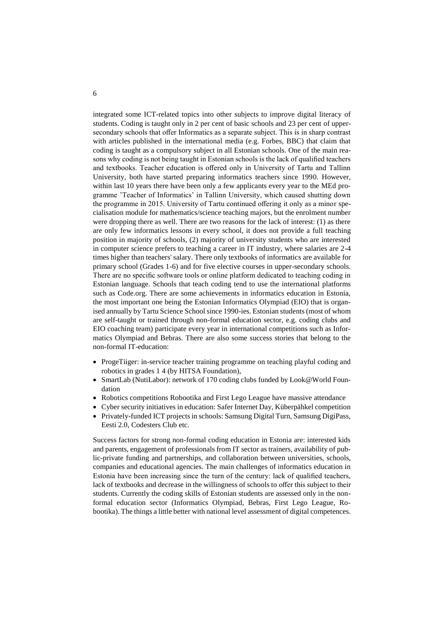integrated some ICT-related topics into other subjects to improve digital literacy of students. Coding is taught only in 2 per cent of basic schools and 23 per cent of uppersecondary schools that offer Informatics as a separate subject. This is in sharp contrast with articles published in the international media (e.g. Forbes, BBC) that claim that coding is taught as a compulsory subject in all Estonian schools. One of the main reasons why coding is not being taught in Estonian schools is the lack of qualified teachers and textbooks. Teacher education is offered only in University of Tartu and Tallinn University, both have started preparing informatics teachers since 1990. However, within last 10 years there have been only a few applicants every year to the MEd programme 'Teacher of Informatics' in Tallinn University, which caused shutting down the programme in 2015. University of Tartu continued offering it only as a minor specialisation module for mathematics/science teaching majors, but the enrolment number were dropping there as well. There are two reasons for the lack of interest: (1) as there are only few informatics lessons in every school, it does not provide a full teaching position in majority of schools, (2) majority of university students who are interested in computer science prefers to teaching a career in IT industry, where salaries are 2-4 times higher than teachers' salary. There only textbooks of informatics are available for primary school (Grades 1-6) and for five elective courses in upper-secondary schools. There are no specific software tools or online platform dedicated to teaching coding in Estonian language. Schools that teach coding tend to use the international platforms such as Code.org. There are some achievements in informatics education in Estonia, the most important one being the Estonian Informatics Olympiad (EIO) that is organised annually by Tartu Science School since 1990-ies. Estonian students (most of whom are self-taught or trained through non-formal education sector, e.g. coding clubs and EIO coaching team) participate every year in international competitions such as Informatics Olympiad and Bebras. There are also some success stories that belong to the non-formal IT-education:

- ProgeTiiger: in-service teacher training programme on teaching playful coding and robotics in grades 1 4 (by HITSA Foundation),
- SmartLab (NutiLabor): network of 170 coding clubs funded by Look@World Foundation
- Robotics competitions Robootika and First Lego League have massive attendance
- Cyber security initiatives in education: Safer Internet Day, Küberpähkel competition
- Privately-funded ICT projects in schools: Samsung Digital Turn, Samsung DigiPass, Eesti 2.0, Codesters Club etc.

Success factors for strong non-formal coding education in Estonia are: interested kids and parents, engagement of professionals from IT sector as trainers, availability of public-private funding and partnerships, and collaboration between universities, schools, companies and educational agencies. The main challenges of informatics education in Estonia have been increasing since the turn of the century: lack of qualified teachers, lack of textbooks and decrease in the willingness of schools to offer this subject to their students. Currently the coding skills of Estonian students are assessed only in the nonformal education sector (Informatics Olympiad, Bebras, First Lego League, Robootika). The things a little better with national level assessment of digital competences.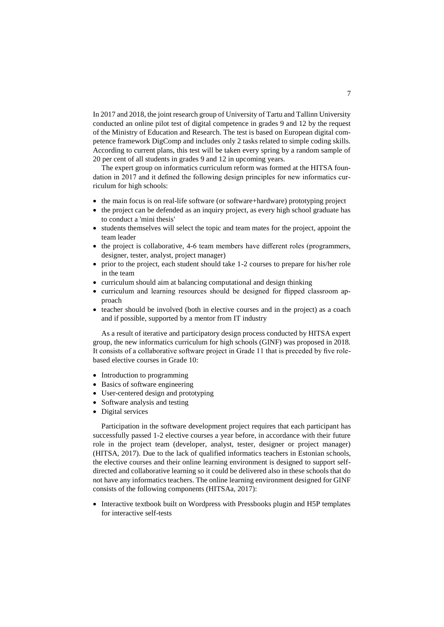In 2017 and 2018, the joint research group of University of Tartu and Tallinn University conducted an online pilot test of digital competence in grades 9 and 12 by the request of the Ministry of Education and Research. The test is based on European digital competence framework DigComp and includes only 2 tasks related to simple coding skills. According to current plans, this test will be taken every spring by a random sample of 20 per cent of all students in grades 9 and 12 in upcoming years.

The expert group on informatics curriculum reform was formed at the HITSA foundation in 2017 and it defined the following design principles for new informatics curriculum for high schools:

- the main focus is on real-life software (or software+hardware) prototyping project
- the project can be defended as an inquiry project, as every high school graduate has to conduct a 'mini thesis'
- students themselves will select the topic and team mates for the project, appoint the team leader
- the project is collaborative, 4-6 team members have different roles (programmers, designer, tester, analyst, project manager)
- prior to the project, each student should take 1-2 courses to prepare for his/her role in the team
- curriculum should aim at balancing computational and design thinking
- curriculum and learning resources should be designed for flipped classroom approach
- teacher should be involved (both in elective courses and in the project) as a coach and if possible, supported by a mentor from IT industry

As a result of iterative and participatory design process conducted by HITSA expert group, the new informatics curriculum for high schools (GINF) was proposed in 2018. It consists of a collaborative software project in Grade 11 that is preceded by five rolebased elective courses in Grade 10:

- Introduction to programming
- Basics of software engineering
- User-centered design and prototyping
- Software analysis and testing
- Digital services

Participation in the software development project requires that each participant has successfully passed 1-2 elective courses a year before, in accordance with their future role in the project team (developer, analyst, tester, designer or project manager) (HITSA, 2017). Due to the lack of qualified informatics teachers in Estonian schools, the elective courses and their online learning environment is designed to support selfdirected and collaborative learning so it could be delivered also in these schools that do not have any informatics teachers. The online learning environment designed for GINF consists of the following components (HITSAa, 2017):

• Interactive textbook built on Wordpress with Pressbooks plugin and H5P templates for interactive self-tests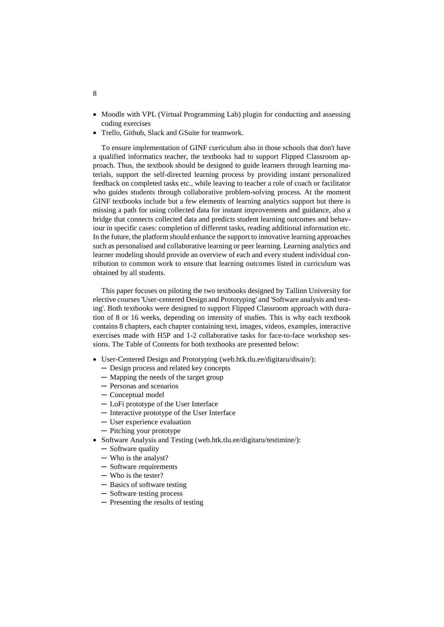- Moodle with VPL (Virtual Programming Lab) plugin for conducting and assessing coding exercises
- Trello, Github, Slack and GSuite for teamwork.

To ensure implementation of GINF curriculum also in those schools that don't have a qualified informatics teacher, the textbooks had to support Flipped Classroom approach. Thus, the textbook should be designed to guide learners through learning materials, support the self-directed learning process by providing instant personalized feedback on completed tasks etc., while leaving to teacher a role of coach or facilitator who guides students through collaborative problem-solving process. At the moment GINF textbooks include but a few elements of learning analytics support but there is missing a path for using collected data for instant improvements and guidance, also a bridge that connects collected data and predicts student learning outcomes and behaviour in specific cases: completion of different tasks, reading additional information etc. In the future, the platform should enhance the support to innovative learning approaches such as personalised and collaborative learning or peer learning. Learning analytics and learner modeling should provide an overview of each and every student individual contribution to common work to ensure that learning outcomes listed in curriculum was obtained by all students.

This paper focuses on piloting the two textbooks designed by Tallinn University for elective courses 'User-centered Design and Prototyping' and 'Software analysis and testing'. Both textbooks were designed to support Flipped Classroom approach with duration of 8 or 16 weeks, depending on intensity of studies. This is why each textbook contains 8 chapters, each chapter containing text, images, videos, examples, interactive exercises made with H5P and 1-2 collaborative tasks for face-to-face workshop sessions. The Table of Contents for both textbooks are presented below:

- User-Centered Design and Prototyping (web.htk.tlu.ee/digitaru/disain/):
	- ─ Design process and related key concepts
	- ─ Mapping the needs of the target group
	- ─ Personas and scenarios
	- ─ Conceptual model
	- ─ LoFi prototype of the User Interface
	- ─ Interactive prototype of the User Interface
	- ─ User experience evaluation
	- ─ Pitching your prototype
- Software Analysis and Testing (web.htk.tlu.ee/digitaru/testimine/):
	- ─ Software quality
	- ─ Who is the analyst?
	- ─ Software requirements
	- ─ Who is the tester?
	- ─ Basics of software testing
	- ─ Software testing process
	- ─ Presenting the results of testing

8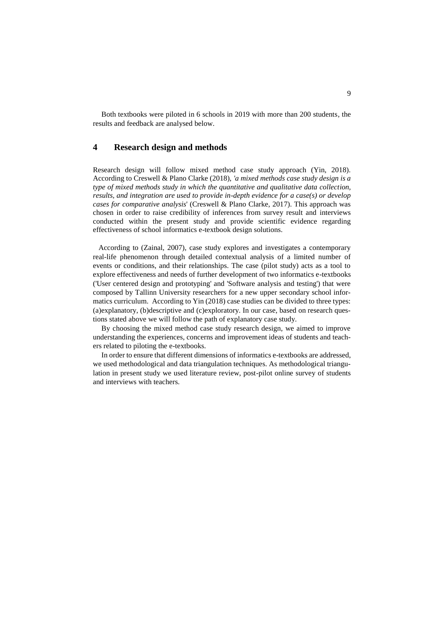Both textbooks were piloted in 6 schools in 2019 with more than 200 students, the results and feedback are analysed below.

# **4 Research design and methods**

Research design will follow mixed method case study approach (Yin, 2018). According to Creswell & Plano Clarke (2018), *'a mixed methods case study design is a type of mixed methods study in which the quantitative and qualitative data collection, results, and integration are used to provide in-depth evidence for a case(s) or develop cases for comparative analysis*' (Creswell & Plano Clarke, 2017). This approach was chosen in order to raise credibility of inferences from survey result and interviews conducted within the present study and provide scientific evidence regarding effectiveness of school informatics e-textbook design solutions.

 According to (Zainal, 2007), case study explores and investigates a contemporary real-life phenomenon through detailed contextual analysis of a limited number of events or conditions, and their relationships. The case (pilot study) acts as a tool to explore effectiveness and needs of further development of two informatics e-textbooks ('User centered design and prototyping' and 'Software analysis and testing') that were composed by Tallinn University researchers for a new upper secondary school informatics curriculum. According to Yin (2018) case studies can be divided to three types: (a)explanatory, (b)descriptive and (c)exploratory. In our case, based on research questions stated above we will follow the path of explanatory case study.

By choosing the mixed method case study research design, we aimed to improve understanding the experiences, concerns and improvement ideas of students and teachers related to piloting the e-textbooks.

In order to ensure that different dimensions of informatics e-textbooks are addressed, we used methodological and data triangulation techniques. As methodological triangulation in present study we used literature review, post-pilot online survey of students and interviews with teachers.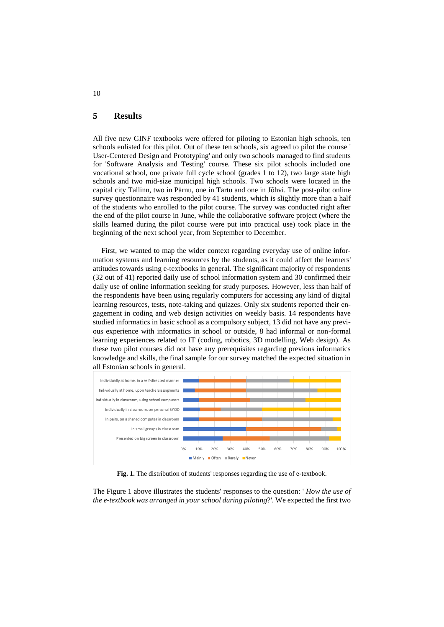## **5 Results**

All five new GINF textbooks were offered for piloting to Estonian high schools, ten schools enlisted for this pilot. Out of these ten schools, six agreed to pilot the course ' User-Centered Design and Prototyping' and only two schools managed to find students for 'Software Analysis and Testing' course. These six pilot schools included one vocational school, one private full cycle school (grades 1 to 12), two large state high schools and two mid-size municipal high schools. Two schools were located in the capital city Tallinn, two in Pärnu, one in Tartu and one in Jõhvi. The post-pilot online survey questionnaire was responded by 41 students, which is slightly more than a half of the students who enrolled to the pilot course. The survey was conducted right after the end of the pilot course in June, while the collaborative software project (where the skills learned during the pilot course were put into practical use) took place in the beginning of the next school year, from September to December.

First, we wanted to map the wider context regarding everyday use of online information systems and learning resources by the students, as it could affect the learners' attitudes towards using e-textbooks in general. The significant majority of respondents (32 out of 41) reported daily use of school information system and 30 confirmed their daily use of online information seeking for study purposes. However, less than half of the respondents have been using regularly computers for accessing any kind of digital learning resources, tests, note-taking and quizzes. Only six students reported their engagement in coding and web design activities on weekly basis. 14 respondents have studied informatics in basic school as a compulsory subject, 13 did not have any previous experience with informatics in school or outside, 8 had informal or non-formal learning experiences related to IT (coding, robotics, 3D modelling, Web design). As these two pilot courses did not have any prerequisites regarding previous informatics knowledge and skills, the final sample for our survey matched the expected situation in all Estonian schools in general.



**Fig. 1.** The distribution of students' responses regarding the use of e-textbook.

The Figure 1 above illustrates the students' responses to the question: ' *How the use of the e-textbook was arranged in your school during piloting*?'. We expected the first two

### 10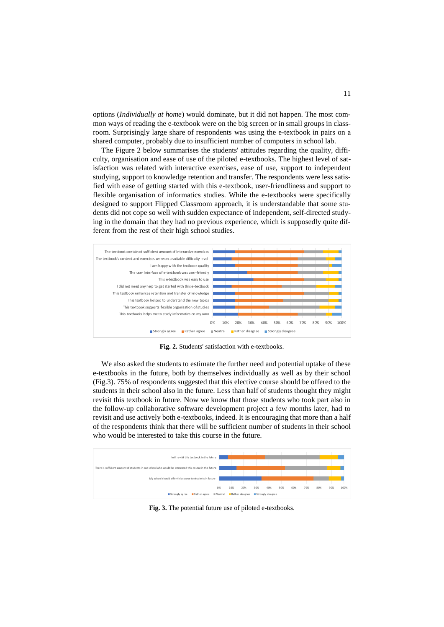options (*Individually at home*) would dominate, but it did not happen. The most common ways of reading the e-textbook were on the big screen or in small groups in classroom. Surprisingly large share of respondents was using the e-textbook in pairs on a shared computer, probably due to insufficient number of computers in school lab.

The Figure 2 below summarises the students' attitudes regarding the quality, difficulty, organisation and ease of use of the piloted e-textbooks. The highest level of satisfaction was related with interactive exercises, ease of use, support to independent studying, support to knowledge retention and transfer. The respondents were less satisfied with ease of getting started with this e-textbook, user-friendliness and support to flexible organisation of informatics studies. While the e-textbooks were specifically designed to support Flipped Classroom approach, it is understandable that some students did not cope so well with sudden expectance of independent, self-directed studying in the domain that they had no previous experience, which is supposedly quite different from the rest of their high school studies.



**Fig. 2.** Students' satisfaction with e-textbooks.

We also asked the students to estimate the further need and potential uptake of these e-textbooks in the future, both by themselves individually as well as by their school (Fig.3). 75% of respondents suggested that this elective course should be offered to the students in their school also in the future. Less than half of students thought they might revisit this textbook in future. Now we know that those students who took part also in the follow-up collaborative software development project a few months later, had to revisit and use actively both e-textbooks, indeed. It is encouraging that more than a half of the respondents think that there will be sufficient number of students in their school who would be interested to take this course in the future.



**Fig. 3.** The potential future use of piloted e-textbooks.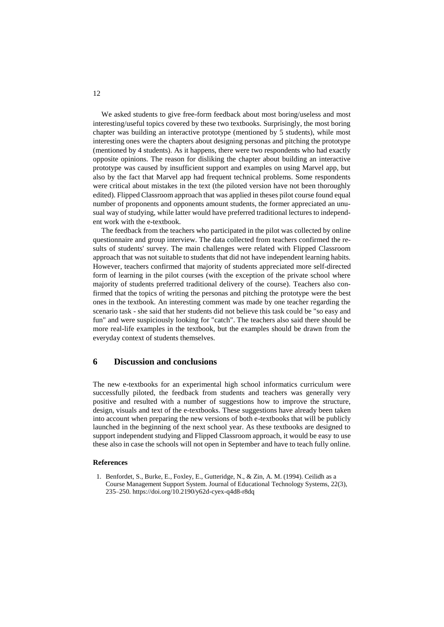We asked students to give free-form feedback about most boring/useless and most interesting/useful topics covered by these two textbooks. Surprisingly, the most boring chapter was building an interactive prototype (mentioned by 5 students), while most interesting ones were the chapters about designing personas and pitching the prototype (mentioned by 4 students). As it happens, there were two respondents who had exactly opposite opinions. The reason for disliking the chapter about building an interactive prototype was caused by insufficient support and examples on using Marvel app, but also by the fact that Marvel app had frequent technical problems. Some respondents were critical about mistakes in the text (the piloted version have not been thoroughly edited). Flipped Classroom approach that was applied in theses pilot course found equal number of proponents and opponents amount students, the former appreciated an unusual way of studying, while latter would have preferred traditional lectures to independent work with the e-textbook.

The feedback from the teachers who participated in the pilot was collected by online questionnaire and group interview. The data collected from teachers confirmed the results of students' survey. The main challenges were related with Flipped Classroom approach that was not suitable to students that did not have independent learning habits. However, teachers confirmed that majority of students appreciated more self-directed form of learning in the pilot courses (with the exception of the private school where majority of students preferred traditional delivery of the course). Teachers also confirmed that the topics of writing the personas and pitching the prototype were the best ones in the textbook. An interesting comment was made by one teacher regarding the scenario task - she said that her students did not believe this task could be "so easy and fun" and were suspiciously looking for "catch". The teachers also said there should be more real-life examples in the textbook, but the examples should be drawn from the everyday context of students themselves.

### **6 Discussion and conclusions**

The new e-textbooks for an experimental high school informatics curriculum were successfully piloted, the feedback from students and teachers was generally very positive and resulted with a number of suggestions how to improve the structure, design, visuals and text of the e-textbooks. These suggestions have already been taken into account when preparing the new versions of both e-textbooks that will be publicly launched in the beginning of the next school year. As these textbooks are designed to support independent studying and Flipped Classroom approach, it would be easy to use these also in case the schools will not open in September and have to teach fully online.

#### **References**

1. Benfordet, S., Burke, E., Foxley, E., Gutteridge, N., & Zin, A. M. (1994). Ceilidh as a Course Management Support System. Journal of Educational Technology Systems, 22(3), 235–250.<https://doi.org/10.2190/y62d-cyex-q4d8-r8dq>

12